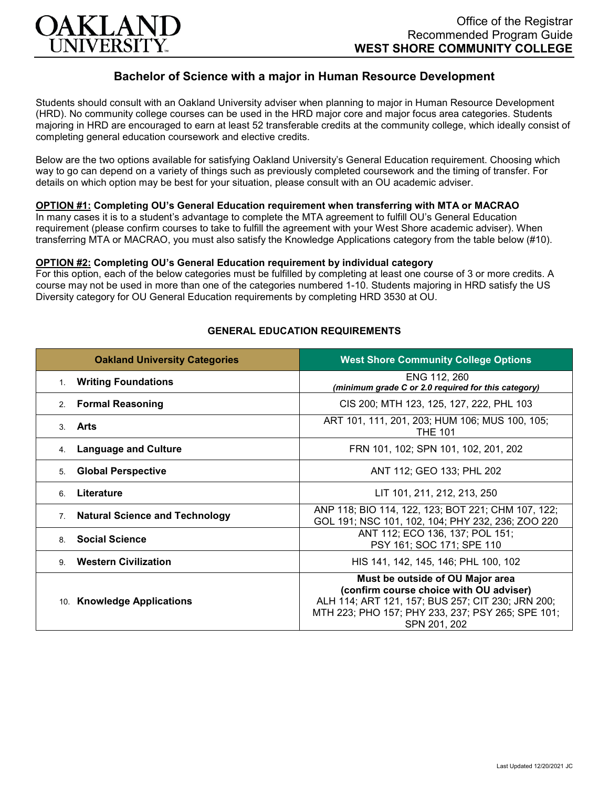

# **Bachelor of Science with a major in Human Resource Development**

Students should consult with an Oakland University adviser when planning to major in Human Resource Development (HRD). No community college courses can be used in the HRD major core and major focus area categories. Students majoring in HRD are encouraged to earn at least 52 transferable credits at the community college, which ideally consist of completing general education coursework and elective credits.

Below are the two options available for satisfying Oakland University's General Education requirement. Choosing which way to go can depend on a variety of things such as previously completed coursework and the timing of transfer. For details on which option may be best for your situation, please consult with an OU academic adviser.

## **OPTION #1: Completing OU's General Education requirement when transferring with MTA or MACRAO**

In many cases it is to a student's advantage to complete the MTA agreement to fulfill OU's General Education requirement (please confirm courses to take to fulfill the agreement with your West Shore academic adviser). When transferring MTA or MACRAO, you must also satisfy the Knowledge Applications category from the table below (#10).

#### **OPTION #2: Completing OU's General Education requirement by individual category**

For this option, each of the below categories must be fulfilled by completing at least one course of 3 or more credits. A course may not be used in more than one of the categories numbered 1-10. Students majoring in HRD satisfy the US Diversity category for OU General Education requirements by completing HRD 3530 at OU.

| <b>Oakland University Categories</b>                    | <b>West Shore Community College Options</b>                                                                                                                                                           |
|---------------------------------------------------------|-------------------------------------------------------------------------------------------------------------------------------------------------------------------------------------------------------|
| <b>Writing Foundations</b><br>1.                        | ENG 112, 260<br>(minimum grade C or 2.0 required for this category)                                                                                                                                   |
| <b>Formal Reasoning</b><br>2 <sub>1</sub>               | CIS 200; MTH 123, 125, 127, 222, PHL 103                                                                                                                                                              |
| Arts<br>3 <sub>1</sub>                                  | ART 101, 111, 201, 203; HUM 106; MUS 100, 105;<br><b>THE 101</b>                                                                                                                                      |
| <b>Language and Culture</b><br>4.                       | FRN 101, 102; SPN 101, 102, 201, 202                                                                                                                                                                  |
| <b>Global Perspective</b><br>5.                         | ANT 112; GEO 133; PHL 202                                                                                                                                                                             |
| Literature<br>6                                         | LIT 101, 211, 212, 213, 250                                                                                                                                                                           |
| <b>Natural Science and Technology</b><br>7 <sub>1</sub> | ANP 118; BIO 114, 122, 123; BOT 221; CHM 107, 122;<br>GOL 191; NSC 101, 102, 104; PHY 232, 236; ZOO 220                                                                                               |
| <b>Social Science</b><br>8                              | ANT 112; ECO 136, 137; POL 151;<br>PSY 161; SOC 171; SPE 110                                                                                                                                          |
| <b>Western Civilization</b><br>9                        | HIS 141, 142, 145, 146; PHL 100, 102                                                                                                                                                                  |
| 10. Knowledge Applications                              | Must be outside of OU Major area<br>(confirm course choice with OU adviser)<br>ALH 114; ART 121, 157; BUS 257; CIT 230; JRN 200;<br>MTH 223; PHO 157; PHY 233, 237; PSY 265; SPE 101;<br>SPN 201, 202 |

## **GENERAL EDUCATION REQUIREMENTS**